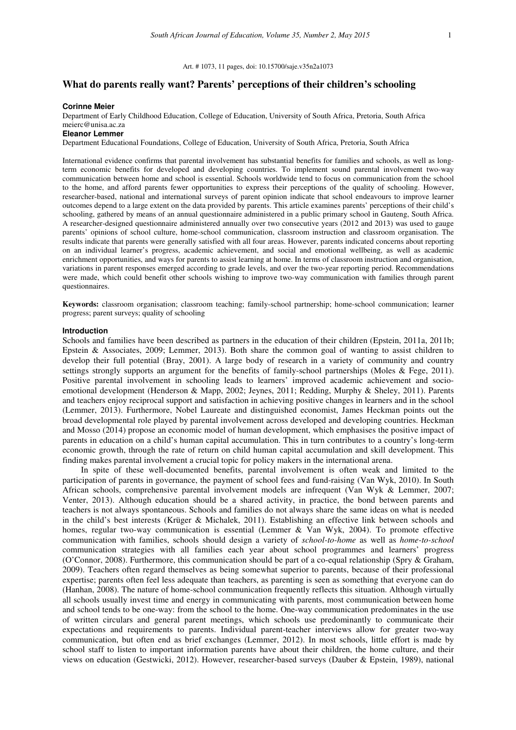Art. # 1073, 11 pages, doi: 10.15700/saje.v35n2a1073

# **What do parents really want? Parents' perceptions of their children's schooling**

#### **Corinne Meier**

Department of Early Childhood Education, College of Education, University of South Africa, Pretoria, South Africa meierc@unisa.ac.za

**Eleanor Lemmer** 

Department Educational Foundations, College of Education, University of South Africa, Pretoria, South Africa

International evidence confirms that parental involvement has substantial benefits for families and schools, as well as longterm economic benefits for developed and developing countries. To implement sound parental involvement two-way communication between home and school is essential. Schools worldwide tend to focus on communication from the school to the home, and afford parents fewer opportunities to express their perceptions of the quality of schooling. However, researcher-based, national and international surveys of parent opinion indicate that school endeavours to improve learner outcomes depend to a large extent on the data provided by parents. This article examines parents' perceptions of their child's schooling, gathered by means of an annual questionnaire administered in a public primary school in Gauteng, South Africa. A researcher-designed questionnaire administered annually over two consecutive years (2012 and 2013) was used to gauge parents' opinions of school culture, home-school communication, classroom instruction and classroom organisation. The results indicate that parents were generally satisfied with all four areas. However, parents indicated concerns about reporting on an individual learner's progress, academic achievement, and social and emotional wellbeing, as well as academic enrichment opportunities, and ways for parents to assist learning at home. In terms of classroom instruction and organisation, variations in parent responses emerged according to grade levels, and over the two-year reporting period. Recommendations were made, which could benefit other schools wishing to improve two-way communication with families through parent questionnaires.

**Keywords:** classroom organisation; classroom teaching; family-school partnership; home-school communication; learner progress; parent surveys; quality of schooling

#### **Introduction**

Schools and families have been described as partners in the education of their children (Epstein, 2011a, 2011b; Epstein & Associates, 2009; Lemmer, 2013). Both share the common goal of wanting to assist children to develop their full potential (Bray, 2001). A large body of research in a variety of community and country settings strongly supports an argument for the benefits of family-school partnerships (Moles & Fege, 2011). Positive parental involvement in schooling leads to learners' improved academic achievement and socioemotional development (Henderson & Mapp, 2002; Jeynes, 2011; Redding, Murphy & Sheley, 2011). Parents and teachers enjoy reciprocal support and satisfaction in achieving positive changes in learners and in the school (Lemmer, 2013). Furthermore, Nobel Laureate and distinguished economist, James Heckman points out the broad developmental role played by parental involvement across developed and developing countries. Heckman and Mosso (2014) propose an economic model of human development, which emphasises the positive impact of parents in education on a child's human capital accumulation. This in turn contributes to a country's long-term economic growth, through the rate of return on child human capital accumulation and skill development. This finding makes parental involvement a crucial topic for policy makers in the international arena.

In spite of these well-documented benefits, parental involvement is often weak and limited to the participation of parents in governance, the payment of school fees and fund-raising (Van Wyk, 2010). In South African schools, comprehensive parental involvement models are infrequent (Van Wyk & Lemmer, 2007; Venter, 2013). Although education should be a shared activity, in practice, the bond between parents and teachers is not always spontaneous. Schools and families do not always share the same ideas on what is needed in the child's best interests (Krüger & Michalek, 2011). Establishing an effective link between schools and homes, regular two-way communication is essential (Lemmer & Van Wyk, 2004). To promote effective communication with families, schools should design a variety of *school-to-home* as well as *home-to-school* communication strategies with all families each year about school programmes and learners' progress (O'Connor, 2008). Furthermore, this communication should be part of a co-equal relationship (Spry & Graham, 2009). Teachers often regard themselves as being somewhat superior to parents, because of their professional expertise; parents often feel less adequate than teachers, as parenting is seen as something that everyone can do (Hanhan, 2008). The nature of home-school communication frequently reflects this situation. Although virtually all schools usually invest time and energy in communicating with parents, most communication between home and school tends to be one-way: from the school to the home. One-way communication predominates in the use of written circulars and general parent meetings, which schools use predominantly to communicate their expectations and requirements to parents. Individual parent-teacher interviews allow for greater two-way communication, but often end as brief exchanges (Lemmer, 2012). In most schools, little effort is made by school staff to listen to important information parents have about their children, the home culture, and their views on education (Gestwicki, 2012). However, researcher-based surveys (Dauber & Epstein, 1989), national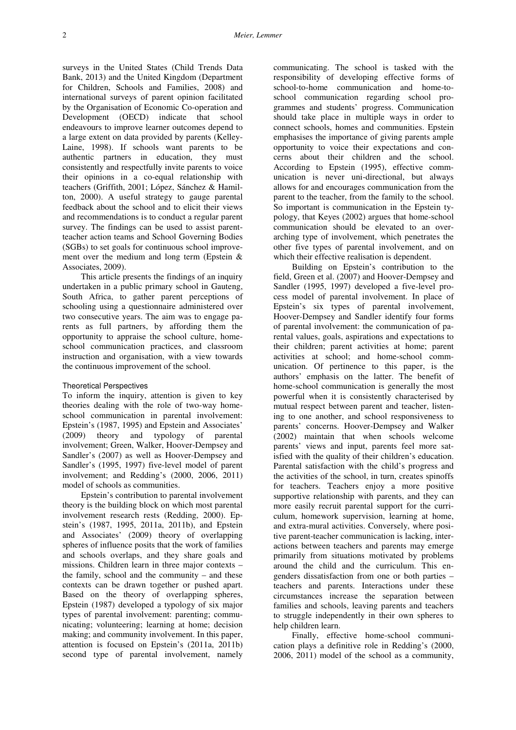surveys in the United States (Child Trends Data Bank, 2013) and the United Kingdom (Department for Children, Schools and Families, 2008) and international surveys of parent opinion facilitated by the Organisation of Economic Co-operation and Development (OECD) indicate that school endeavours to improve learner outcomes depend to a large extent on data provided by parents (Kelley-Laine, 1998). If schools want parents to be authentic partners in education, they must consistently and respectfully invite parents to voice their opinions in a co-equal relationship with teachers (Griffith, 2001; López, Sánchez & Hamilton, 2000). A useful strategy to gauge parental feedback about the school and to elicit their views and recommendations is to conduct a regular parent survey. The findings can be used to assist parentteacher action teams and School Governing Bodies (SGBs) to set goals for continuous school improvement over the medium and long term (Epstein & Associates, 2009).

This article presents the findings of an inquiry undertaken in a public primary school in Gauteng, South Africa, to gather parent perceptions of schooling using a questionnaire administered over two consecutive years. The aim was to engage parents as full partners, by affording them the opportunity to appraise the school culture, homeschool communication practices, and classroom instruction and organisation, with a view towards the continuous improvement of the school.

### Theoretical Perspectives

To inform the inquiry, attention is given to key theories dealing with the role of two-way homeschool communication in parental involvement: Epstein's (1987, 1995) and Epstein and Associates' (2009) theory and typology of parental involvement; Green, Walker, Hoover-Dempsey and Sandler's (2007) as well as Hoover-Dempsey and Sandler's (1995, 1997) five-level model of parent involvement; and Redding's (2000, 2006, 2011) model of schools as communities.

Epstein's contribution to parental involvement theory is the building block on which most parental involvement research rests (Redding, 2000). Epstein's (1987, 1995, 2011a, 2011b), and Epstein and Associates' (2009) theory of overlapping spheres of influence posits that the work of families and schools overlaps, and they share goals and missions. Children learn in three major contexts – the family, school and the community – and these contexts can be drawn together or pushed apart. Based on the theory of overlapping spheres, Epstein (1987) developed a typology of six major types of parental involvement: parenting; communicating; volunteering; learning at home; decision making; and community involvement. In this paper, attention is focused on Epstein's (2011a, 2011b) second type of parental involvement, namely

communicating. The school is tasked with the responsibility of developing effective forms of school-to-home communication and home-toschool communication regarding school programmes and students' progress. Communication should take place in multiple ways in order to connect schools, homes and communities. Epstein emphasises the importance of giving parents ample opportunity to voice their expectations and concerns about their children and the school. According to Epstein (1995), effective communication is never uni-directional, but always allows for and encourages communication from the parent to the teacher, from the family to the school. So important is communication in the Epstein typology, that Keyes (2002) argues that home-school communication should be elevated to an overarching type of involvement, which penetrates the other five types of parental involvement, and on which their effective realisation is dependent.

Building on Epstein's contribution to the field, Green et al. (2007) and Hoover-Dempsey and Sandler (1995, 1997) developed a five-level process model of parental involvement. In place of Epstein's six types of parental involvement, Hoover-Dempsey and Sandler identify four forms of parental involvement: the communication of parental values, goals, aspirations and expectations to their children; parent activities at home; parent activities at school; and home-school communication. Of pertinence to this paper, is the authors' emphasis on the latter. The benefit of home-school communication is generally the most powerful when it is consistently characterised by mutual respect between parent and teacher, listening to one another, and school responsiveness to parents' concerns. Hoover-Dempsey and Walker (2002) maintain that when schools welcome parents' views and input, parents feel more satisfied with the quality of their children's education. Parental satisfaction with the child's progress and the activities of the school, in turn, creates spinoffs for teachers. Teachers enjoy a more positive supportive relationship with parents, and they can more easily recruit parental support for the curriculum, homework supervision, learning at home, and extra-mural activities. Conversely, where positive parent-teacher communication is lacking, interactions between teachers and parents may emerge primarily from situations motivated by problems around the child and the curriculum. This engenders dissatisfaction from one or both parties – teachers and parents. Interactions under these circumstances increase the separation between families and schools, leaving parents and teachers to struggle independently in their own spheres to help children learn.

Finally, effective home-school communication plays a definitive role in Redding's (2000, 2006, 2011) model of the school as a community,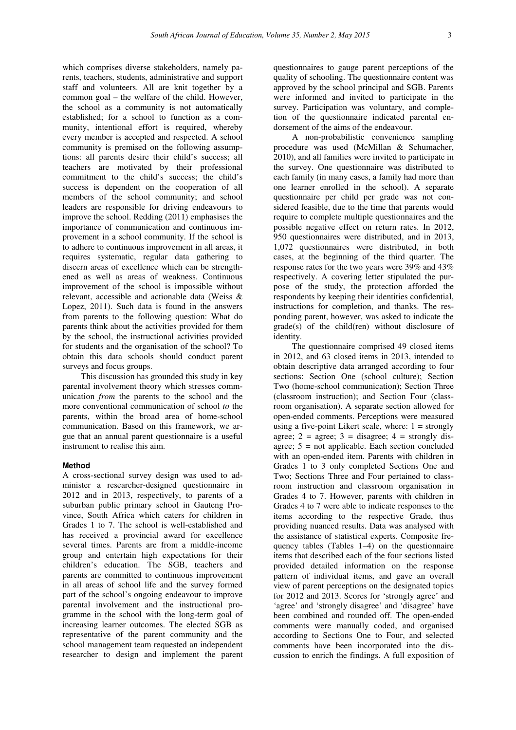which comprises diverse stakeholders, namely parents, teachers, students, administrative and support staff and volunteers. All are knit together by a common goal – the welfare of the child. However, the school as a community is not automatically established; for a school to function as a community, intentional effort is required, whereby every member is accepted and respected. A school community is premised on the following assumptions: all parents desire their child's success; all teachers are motivated by their professional commitment to the child's success; the child's success is dependent on the cooperation of all members of the school community; and school leaders are responsible for driving endeavours to improve the school. Redding (2011) emphasises the importance of communication and continuous improvement in a school community. If the school is to adhere to continuous improvement in all areas, it requires systematic, regular data gathering to discern areas of excellence which can be strengthened as well as areas of weakness. Continuous improvement of the school is impossible without relevant, accessible and actionable data (Weiss & Lopez, 2011). Such data is found in the answers from parents to the following question: What do parents think about the activities provided for them by the school, the instructional activities provided for students and the organisation of the school? To obtain this data schools should conduct parent surveys and focus groups.

This discussion has grounded this study in key parental involvement theory which stresses communication *from* the parents to the school and the more conventional communication of school *to* the parents, within the broad area of home-school communication. Based on this framework, we argue that an annual parent questionnaire is a useful instrument to realise this aim.

### **Method**

A cross-sectional survey design was used to administer a researcher-designed questionnaire in 2012 and in 2013, respectively, to parents of a suburban public primary school in Gauteng Province, South Africa which caters for children in Grades 1 to 7. The school is well-established and has received a provincial award for excellence several times. Parents are from a middle-income group and entertain high expectations for their children's education. The SGB, teachers and parents are committed to continuous improvement in all areas of school life and the survey formed part of the school's ongoing endeavour to improve parental involvement and the instructional programme in the school with the long-term goal of increasing learner outcomes. The elected SGB as representative of the parent community and the school management team requested an independent researcher to design and implement the parent

questionnaires to gauge parent perceptions of the quality of schooling. The questionnaire content was approved by the school principal and SGB. Parents were informed and invited to participate in the survey. Participation was voluntary, and completion of the questionnaire indicated parental endorsement of the aims of the endeavour.

A non-probabilistic convenience sampling procedure was used (McMillan & Schumacher, 2010), and all families were invited to participate in the survey. One questionnaire was distributed to each family (in many cases, a family had more than one learner enrolled in the school). A separate questionnaire per child per grade was not considered feasible, due to the time that parents would require to complete multiple questionnaires and the possible negative effect on return rates. In 2012, 950 questionnaires were distributed, and in 2013, 1,072 questionnaires were distributed, in both cases, at the beginning of the third quarter. The response rates for the two years were 39% and 43% respectively. A covering letter stipulated the purpose of the study, the protection afforded the respondents by keeping their identities confidential, instructions for completion, and thanks. The responding parent, however, was asked to indicate the grade(s) of the child(ren) without disclosure of identity.

The questionnaire comprised 49 closed items in 2012, and 63 closed items in 2013, intended to obtain descriptive data arranged according to four sections: Section One (school culture); Section Two (home-school communication); Section Three (classroom instruction); and Section Four (classroom organisation). A separate section allowed for open-ended comments. Perceptions were measured using a five-point Likert scale, where:  $1 =$  strongly agree;  $2 = \text{agree}$ ;  $3 = \text{disagree}$ ;  $4 = \text{strongly dis-}$ agree;  $5 = \text{not applicable}$ . Each section concluded with an open-ended item. Parents with children in Grades 1 to 3 only completed Sections One and Two; Sections Three and Four pertained to classroom instruction and classroom organisation in Grades 4 to 7. However, parents with children in Grades 4 to 7 were able to indicate responses to the items according to the respective Grade, thus providing nuanced results. Data was analysed with the assistance of statistical experts. Composite frequency tables (Tables 1–4) on the questionnaire items that described each of the four sections listed provided detailed information on the response pattern of individual items, and gave an overall view of parent perceptions on the designated topics for 2012 and 2013. Scores for 'strongly agree' and 'agree' and 'strongly disagree' and 'disagree' have been combined and rounded off. The open-ended comments were manually coded, and organised according to Sections One to Four, and selected comments have been incorporated into the discussion to enrich the findings. A full exposition of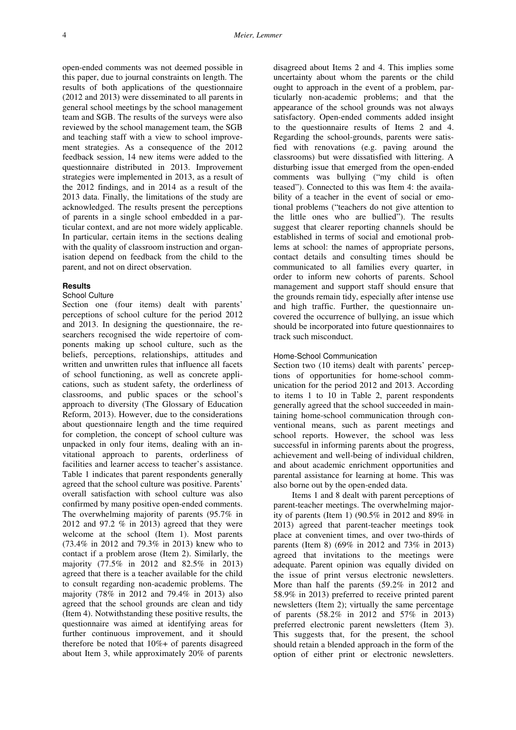open-ended comments was not deemed possible in this paper, due to journal constraints on length. The results of both applications of the questionnaire (2012 and 2013) were disseminated to all parents in general school meetings by the school management team and SGB. The results of the surveys were also reviewed by the school management team, the SGB and teaching staff with a view to school improvement strategies. As a consequence of the 2012 feedback session, 14 new items were added to the questionnaire distributed in 2013. Improvement strategies were implemented in 2013, as a result of the 2012 findings, and in 2014 as a result of the 2013 data. Finally, the limitations of the study are acknowledged. The results present the perceptions of parents in a single school embedded in a particular context, and are not more widely applicable. In particular, certain items in the sections dealing with the quality of classroom instruction and organisation depend on feedback from the child to the parent, and not on direct observation.

### **Results**

### School Culture

Section one (four items) dealt with parents' perceptions of school culture for the period 2012 and 2013. In designing the questionnaire, the researchers recognised the wide repertoire of components making up school culture, such as the beliefs, perceptions, relationships, attitudes and written and unwritten rules that influence all facets of school functioning, as well as concrete applications, such as student safety, the orderliness of classrooms, and public spaces or the school's approach to diversity (The Glossary of Education Reform, 2013). However, due to the considerations about questionnaire length and the time required for completion, the concept of school culture was unpacked in only four items, dealing with an invitational approach to parents, orderliness of facilities and learner access to teacher's assistance. Table 1 indicates that parent respondents generally agreed that the school culture was positive. Parents' overall satisfaction with school culture was also confirmed by many positive open-ended comments. The overwhelming majority of parents (95.7% in 2012 and 97.2 % in 2013) agreed that they were welcome at the school (Item 1). Most parents (73.4% in 2012 and 79.3% in 2013) knew who to contact if a problem arose (Item 2). Similarly, the majority (77.5% in 2012 and 82.5% in 2013) agreed that there is a teacher available for the child to consult regarding non-academic problems. The majority (78% in 2012 and 79.4% in 2013) also agreed that the school grounds are clean and tidy (Item 4). Notwithstanding these positive results, the questionnaire was aimed at identifying areas for further continuous improvement, and it should therefore be noted that 10%+ of parents disagreed about Item 3, while approximately 20% of parents

disagreed about Items 2 and 4. This implies some uncertainty about whom the parents or the child ought to approach in the event of a problem, particularly non-academic problems; and that the appearance of the school grounds was not always satisfactory. Open-ended comments added insight to the questionnaire results of Items 2 and 4. Regarding the school-grounds, parents were satisfied with renovations (e.g. paving around the classrooms) but were dissatisfied with littering. A disturbing issue that emerged from the open-ended comments was bullying ("my child is often teased"). Connected to this was Item 4: the availability of a teacher in the event of social or emotional problems ("teachers do not give attention to the little ones who are bullied"). The results suggest that clearer reporting channels should be established in terms of social and emotional problems at school: the names of appropriate persons, contact details and consulting times should be communicated to all families every quarter, in order to inform new cohorts of parents. School management and support staff should ensure that the grounds remain tidy, especially after intense use and high traffic. Further, the questionnaire uncovered the occurrence of bullying, an issue which should be incorporated into future questionnaires to track such misconduct.

## Home-School Communication

Section two (10 items) dealt with parents' perceptions of opportunities for home-school communication for the period 2012 and 2013. According to items 1 to 10 in Table 2, parent respondents generally agreed that the school succeeded in maintaining home-school communication through conventional means, such as parent meetings and school reports. However, the school was less successful in informing parents about the progress, achievement and well-being of individual children, and about academic enrichment opportunities and parental assistance for learning at home. This was also borne out by the open-ended data.

Items 1 and 8 dealt with parent perceptions of parent-teacher meetings. The overwhelming majority of parents (Item 1) (90.5% in 2012 and 89% in 2013) agreed that parent-teacher meetings took place at convenient times, and over two-thirds of parents (Item 8) (69% in 2012 and 73% in 2013) agreed that invitations to the meetings were adequate. Parent opinion was equally divided on the issue of print versus electronic newsletters. More than half the parents (59.2% in 2012 and 58.9% in 2013) preferred to receive printed parent newsletters (Item 2); virtually the same percentage of parents (58.2% in 2012 and 57% in 2013) preferred electronic parent newsletters (Item 3). This suggests that, for the present, the school should retain a blended approach in the form of the option of either print or electronic newsletters.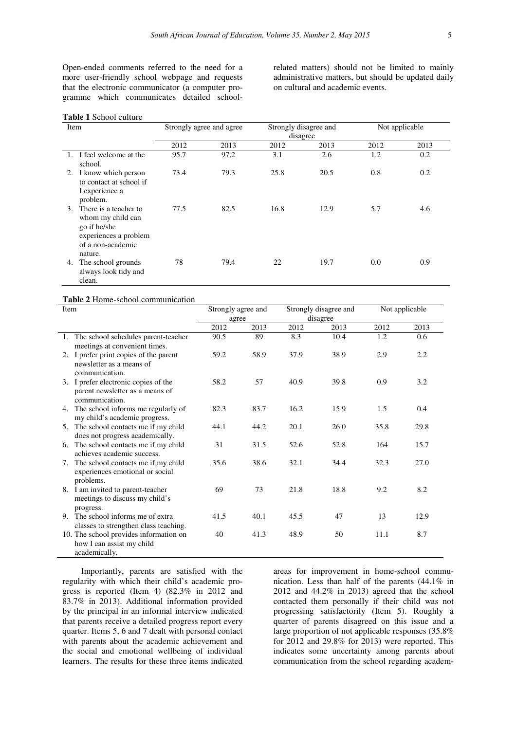Open-ended comments referred to the need for a more user-friendly school webpage and requests that the electronic communicator (a computer programme which communicates detailed schoolrelated matters) should not be limited to mainly administrative matters, but should be updated daily on cultural and academic events.

## **Table 1** School culture

| Item                                                                                                                      |      | Strongly agree and agree |      | Strongly disagree and<br>disagree | Not applicable |      |  |  |  |
|---------------------------------------------------------------------------------------------------------------------------|------|--------------------------|------|-----------------------------------|----------------|------|--|--|--|
|                                                                                                                           | 2012 | 2013                     | 2012 | 2013                              | 2012           | 2013 |  |  |  |
| 1. I feel welcome at the<br>school.                                                                                       | 95.7 | 97.2                     | 3.1  | 2.6                               | 1.2            | 0.2  |  |  |  |
| 2. I know which person<br>to contact at school if<br>I experience a<br>problem.                                           | 73.4 | 79.3                     | 25.8 | 20.5                              | 0.8            | 0.2  |  |  |  |
| There is a teacher to<br>3.<br>whom my child can<br>go if he/she<br>experiences a problem<br>of a non-academic<br>nature. | 77.5 | 82.5                     | 16.8 | 12.9                              | 5.7            | 4.6  |  |  |  |
| The school grounds<br>4.<br>always look tidy and<br>clean.                                                                | 78   | 79.4                     | 22   | 19.7                              | 0.0            | 0.9  |  |  |  |

### **Table 2** Home-school communication

| Item |                                                                                           | Strongly agree and |      |      | Strongly disagree and | Not applicable |      |  |  |  |
|------|-------------------------------------------------------------------------------------------|--------------------|------|------|-----------------------|----------------|------|--|--|--|
|      |                                                                                           | agree              |      |      | disagree              |                |      |  |  |  |
|      |                                                                                           | 2012               | 2013 | 2012 | 2013                  | 2012           | 2013 |  |  |  |
|      | 1. The school schedules parent-teacher<br>meetings at convenient times.                   | 90.5               | 89   | 8.3  | 10.4                  | 1.2            | 0.6  |  |  |  |
|      | 2. I prefer print copies of the parent<br>newsletter as a means of<br>communication.      | 59.2               | 58.9 | 37.9 | 38.9                  | 2.9            | 2.2  |  |  |  |
|      | 3. I prefer electronic copies of the<br>parent newsletter as a means of<br>communication. | 58.2               | 57   | 40.9 | 39.8                  | 0.9            | 3.2  |  |  |  |
| 4.   | The school informs me regularly of<br>my child's academic progress.                       | 82.3               | 83.7 | 16.2 | 15.9                  | 1.5            | 0.4  |  |  |  |
| 5.   | The school contacts me if my child<br>does not progress academically.                     | 44.1               | 44.2 | 20.1 | 26.0                  | 35.8           | 29.8 |  |  |  |
| 6.   | The school contacts me if my child<br>achieves academic success.                          | 31                 | 31.5 | 52.6 | 52.8                  | 164            | 15.7 |  |  |  |
| 7.   | The school contacts me if my child<br>experiences emotional or social<br>problems.        | 35.6               | 38.6 | 32.1 | 34.4                  | 32.3           | 27.0 |  |  |  |
|      | 8. I am invited to parent-teacher<br>meetings to discuss my child's<br>progress.          | 69                 | 73   | 21.8 | 18.8                  | 9.2            | 8.2  |  |  |  |
| 9.   | The school informs me of extra<br>classes to strengthen class teaching.                   | 41.5               | 40.1 | 45.5 | 47                    | 13             | 12.9 |  |  |  |
|      | 10. The school provides information on<br>how I can assist my child<br>academically.      | 40                 | 41.3 | 48.9 | 50                    | 11.1           | 8.7  |  |  |  |

Importantly, parents are satisfied with the regularity with which their child's academic progress is reported (Item 4) (82.3% in 2012 and 83.7% in 2013). Additional information provided by the principal in an informal interview indicated that parents receive a detailed progress report every quarter. Items 5, 6 and 7 dealt with personal contact with parents about the academic achievement and the social and emotional wellbeing of individual learners. The results for these three items indicated

areas for improvement in home-school communication. Less than half of the parents (44.1% in 2012 and 44.2% in 2013) agreed that the school contacted them personally if their child was not progressing satisfactorily (Item 5). Roughly a quarter of parents disagreed on this issue and a large proportion of not applicable responses (35.8%) for 2012 and 29.8% for 2013) were reported. This indicates some uncertainty among parents about communication from the school regarding academ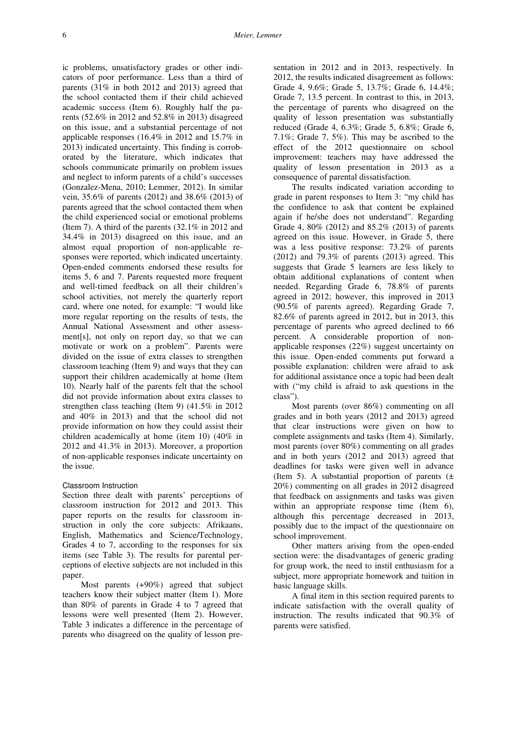ic problems, unsatisfactory grades or other indicators of poor performance. Less than a third of parents (31% in both 2012 and 2013) agreed that the school contacted them if their child achieved academic success (Item 6). Roughly half the parents (52.6% in 2012 and 52.8% in 2013) disagreed on this issue, and a substantial percentage of not applicable responses (16.4% in 2012 and 15.7% in 2013) indicated uncertainty. This finding is corroborated by the literature, which indicates that schools communicate primarily on problem issues and neglect to inform parents of a child's successes (Gonzalez-Mena, 2010; Lemmer, 2012). In similar vein, 35.6% of parents (2012) and 38.6% (2013) of parents agreed that the school contacted them when the child experienced social or emotional problems (Item 7). A third of the parents (32.1% in 2012 and 34.4% in 2013) disagreed on this issue, and an almost equal proportion of non-applicable responses were reported, which indicated uncertainty. Open-ended comments endorsed these results for items 5, 6 and 7. Parents requested more frequent and well-timed feedback on all their children's school activities, not merely the quarterly report card, where one noted, for example: "I would like more regular reporting on the results of tests, the Annual National Assessment and other assessment[s], not only on report day, so that we can motivate or work on a problem". Parents were divided on the issue of extra classes to strengthen classroom teaching (Item 9) and ways that they can support their children academically at home (Item 10). Nearly half of the parents felt that the school did not provide information about extra classes to strengthen class teaching (Item 9) (41.5% in 2012 and 40% in 2013) and that the school did not provide information on how they could assist their children academically at home (item 10) (40% in 2012 and 41.3% in 2013). Moreover, a proportion of non-applicable responses indicate uncertainty on the issue.

#### Classroom Instruction

Section three dealt with parents' perceptions of classroom instruction for 2012 and 2013. This paper reports on the results for classroom instruction in only the core subjects: Afrikaans, English, Mathematics and Science/Technology, Grades 4 to 7, according to the responses for six items (see Table 3). The results for parental perceptions of elective subjects are not included in this paper.

Most parents (+90%) agreed that subject teachers know their subject matter (Item 1). More than 80% of parents in Grade 4 to 7 agreed that lessons were well presented (Item 2). However, Table 3 indicates a difference in the percentage of parents who disagreed on the quality of lesson presentation in 2012 and in 2013, respectively. In 2012, the results indicated disagreement as follows: Grade 4, 9.6%; Grade 5, 13.7%; Grade 6, 14.4%; Grade 7, 13.5 percent. In contrast to this, in 2013, the percentage of parents who disagreed on the quality of lesson presentation was substantially reduced (Grade 4, 6.3%; Grade 5, 6.8%; Grade 6, 7.1%; Grade 7, 5%). This may be ascribed to the effect of the 2012 questionnaire on school improvement: teachers may have addressed the quality of lesson presentation in 2013 as a consequence of parental dissatisfaction.

The results indicated variation according to grade in parent responses to Item 3: "my child has the confidence to ask that content be explained again if he/she does not understand". Regarding Grade 4, 80% (2012) and 85.2% (2013) of parents agreed on this issue. However, in Grade 5, there was a less positive response: 73.2% of parents (2012) and 79.3% of parents (2013) agreed. This suggests that Grade 5 learners are less likely to obtain additional explanations of content when needed. Regarding Grade 6, 78.8% of parents agreed in 2012; however, this improved in 2013 (90.5% of parents agreed). Regarding Grade 7, 82.6% of parents agreed in 2012, but in 2013, this percentage of parents who agreed declined to 66 percent. A considerable proportion of nonapplicable responses (22%) suggest uncertainty on this issue. Open-ended comments put forward a possible explanation: children were afraid to ask for additional assistance once a topic had been dealt with ("my child is afraid to ask questions in the class").

Most parents (over 86%) commenting on all grades and in both years (2012 and 2013) agreed that clear instructions were given on how to complete assignments and tasks (Item 4). Similarly, most parents (over 80%) commenting on all grades and in both years (2012 and 2013) agreed that deadlines for tasks were given well in advance (Item 5). A substantial proportion of parents  $(\pm)$ 20%) commenting on all grades in 2012 disagreed that feedback on assignments and tasks was given within an appropriate response time (Item 6), although this percentage decreased in 2013, possibly due to the impact of the questionnaire on school improvement.

Other matters arising from the open-ended section were: the disadvantages of generic grading for group work, the need to instil enthusiasm for a subject, more appropriate homework and tuition in basic language skills.

A final item in this section required parents to indicate satisfaction with the overall quality of instruction. The results indicated that 90.3% of parents were satisfied.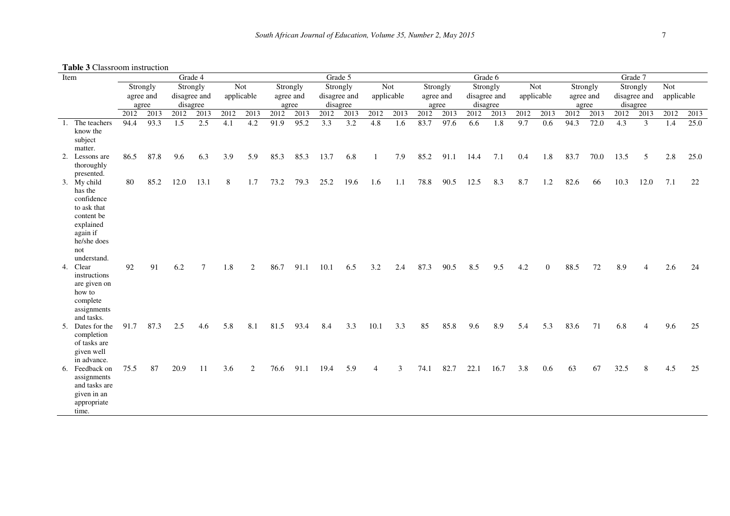**Table 3** Classroom instruction

| Item |                                                                                                                                 | <b>rupic o Chassroom msuucuom</b><br>Grade 4 |              |              |             |             |             |              |              | Grade 5      |                          |                |             | Grade 6      |              |             |                          |             |             | Grade 7      |              |              |                |             |              |  |
|------|---------------------------------------------------------------------------------------------------------------------------------|----------------------------------------------|--------------|--------------|-------------|-------------|-------------|--------------|--------------|--------------|--------------------------|----------------|-------------|--------------|--------------|-------------|--------------------------|-------------|-------------|--------------|--------------|--------------|----------------|-------------|--------------|--|
|      |                                                                                                                                 | Strongly                                     |              | Strongly     |             | Not         |             | Strongly     |              | Strongly     |                          | Not            |             | Strongly     |              | Strongly    |                          | <b>Not</b>  |             | Strongly     |              | Strongly     |                | <b>Not</b>  |              |  |
|      |                                                                                                                                 | agree and                                    |              | disagree and |             | applicable  |             | agree and    |              | disagree and |                          |                | applicable  |              | agree and    |             | disagree and             |             | applicable  | agree and    |              | disagree and |                | applicable  |              |  |
|      |                                                                                                                                 | agree                                        |              | disagree     |             |             |             | agree        |              | disagree     |                          |                |             | agree        |              | disagree    |                          |             |             | agree        |              | disagree     |                |             |              |  |
|      | The teachers                                                                                                                    | 2012<br>94.4                                 | 2013<br>93.3 | 2012<br>1.5  | 2013<br>2.5 | 2012<br>4.1 | 2013<br>4.2 | 2012<br>91.9 | 2013<br>95.2 | 2012<br>3.3  | 2013<br>$\overline{3.2}$ | 2012<br>4.8    | 2013<br>1.6 | 2012<br>83.7 | 2013<br>97.6 | 2012<br>6.6 | 2013<br>$\overline{1.8}$ | 2012<br>9.7 | 2013<br>0.6 | 2012<br>94.3 | 2013<br>72.0 | 2012<br>4.3  | 2013<br>3      | 2012<br>1.4 | 2013<br>25.0 |  |
| -1.  | know the<br>subject<br>matter.                                                                                                  |                                              |              |              |             |             |             |              |              |              |                          |                |             |              |              |             |                          |             |             |              |              |              |                |             |              |  |
| 2.   | Lessons are<br>thoroughly<br>presented.                                                                                         | 86.5                                         | 87.8         | 9.6          | 6.3         | 3.9         | 5.9         | 85.3         | 85.3         | 13.7         | 6.8                      | 1              | 7.9         | 85.2         | 91.1         | 14.4        | 7.1                      | 0.4         | 1.8         | 83.7         | 70.0         | 13.5         | 5              | 2.8         | 25.0         |  |
|      | 3. My child<br>has the<br>confidence<br>to ask that<br>content be<br>explained<br>again if<br>he/she does<br>not<br>understand. | 80                                           | 85.2         | 12.0         | 13.1        | 8           | 1.7         | 73.2         | 79.3         | 25.2         | 19.6                     | 1.6            | 1.1         | 78.8         | 90.5         | 12.5        | 8.3                      | 8.7         | 1.2         | 82.6         | 66           | 10.3         | 12.0           | 7.1         | 22           |  |
| 4.   | Clear<br>instructions<br>are given on<br>how to<br>complete<br>assignments<br>and tasks.                                        | 92                                           | 91           | 6.2          | 7           | 1.8         | 2           | 86.7         | 91.1         | 10.1         | 6.5                      | 3.2            | 2.4         | 87.3         | 90.5         | 8.5         | 9.5                      | 4.2         | $\theta$    | 88.5         | 72           | 8.9          | $\overline{4}$ | 2.6         | 24           |  |
|      | 5. Dates for the<br>completion<br>of tasks are<br>given well<br>in advance.                                                     | 91.7                                         | 87.3         | 2.5          | 4.6         | 5.8         | 8.1         | 81.5         | 93.4         | 8.4          | 3.3                      | 10.1           | 3.3         | 85           | 85.8         | 9.6         | 8.9                      | 5.4         | 5.3         | 83.6         | 71           | 6.8          | 4              | 9.6         | 25           |  |
|      | 6. Feedback on<br>assignments<br>and tasks are<br>given in an<br>appropriate<br>time.                                           | 75.5                                         | 87           | 20.9         | 11          | 3.6         | 2           | 76.6         | 91.1         | 19.4         | 5.9                      | $\overline{4}$ | 3           | 74.1         | 82.7         | 22.1        | 16.7                     | 3.8         | 0.6         | 63           | 67           | 32.5         | 8              | 4.5         | 25           |  |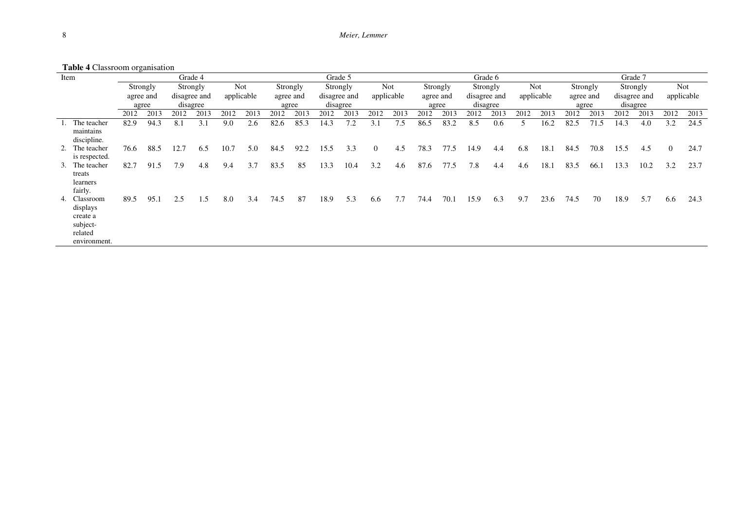|  | <b>Tuble + Chassroom organisation</b><br>Item                               |           |      |              | Grade 4  |            |      | Grade 5   |          |              |          |                |            |           | Grade 6  |              |          |            |            |           |          | Grade 7      |          |                |            |  |  |  |
|--|-----------------------------------------------------------------------------|-----------|------|--------------|----------|------------|------|-----------|----------|--------------|----------|----------------|------------|-----------|----------|--------------|----------|------------|------------|-----------|----------|--------------|----------|----------------|------------|--|--|--|
|  |                                                                             | Strongly  |      |              | Strongly |            | Not  |           | Strongly |              | Strongly |                | <b>Not</b> |           | Strongly |              | Strongly |            | <b>Not</b> |           | Strongly |              | Strongly |                | <b>Not</b> |  |  |  |
|  |                                                                             | agree and |      | disagree and |          | applicable |      | agree and |          | disagree and |          | applicable     |            | agree and |          | disagree and |          | applicable |            | agree and |          | disagree and |          | applicable     |            |  |  |  |
|  |                                                                             | agree     |      | disagree     |          |            |      | agree     |          | disagree     |          |                |            | agree     |          | disagree     |          |            |            | agree     |          | disagree     |          |                |            |  |  |  |
|  |                                                                             | 2012      | 2013 | 2012         | 2013     | 2012       | 2013 | 2012      | 2013     | 2012         | 2013     | 2012           | 2013       | 2012      | 2013     | 2012         | 2013     | 2012       | 2013       | 2012      | 2013     | 2012         | 2013     | 2012           | 2013       |  |  |  |
|  | 1. The teacher<br>maintains<br>discipline.                                  | 82.9      | 94.3 | 8.1          | 3.1      | 9.0        | 2.6  | 82.6      | 85.3     | 14.3         | 7.2      | 3.1            | 7.5        | 86.5      | 83.2     | 8.5          | 0.6      |            | 16.2       | 82.5      | 71.5     | 14.3         | 4.0      | 3.2            | 24.5       |  |  |  |
|  | 2. The teacher<br>is respected.                                             | 76.6      | 88.5 | 12.7         | 6.5      | 10.7       | 5.0  | 84.5      | 92.2     | 15.5         | 3.3      | $\overline{0}$ | 4.5        | 78.3      | 77.5     | 14.9         | 4.4      | 6.8        | 18.1       | 84.5      | 70.8     | 15.5         | 4.5      | $\overline{0}$ | 24.7       |  |  |  |
|  | 3. The teacher<br>treats<br>learners<br>fairly.                             | 82.7      | 91.5 | 7.9          | 4.8      | 9.4        | 3.7  | 83.5      | 85       | 13.3         | 10.4     | 3.2            | 4.6        | 87.6      | 77.5     | 7.8          | 4.4      | 4.6        | 18.1       | 83.5      | 66.1     | 13.3         | 10.2     | 3.2            | 23.7       |  |  |  |
|  | 4. Classroom<br>displays<br>create a<br>subject-<br>related<br>environment. | 89.5      | 95.1 | 2.5          | 1.5      | 8.0        | 3.4  | 74.5      | 87       | 18.9         | 5.3      | 6.6            | 7.7        | 74.4      | 70.1     | 15.9         | 6.3      | 9.7        | 23.6       | 74.5      | 70       | 18.9         | 5.7      | 6.6            | 24.3       |  |  |  |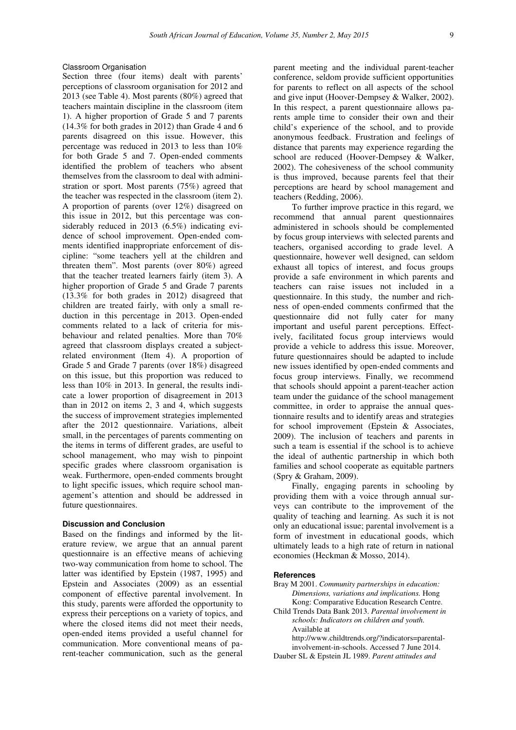### Classroom Organisation

Section three (four items) dealt with parents' perceptions of classroom organisation for 2012 and 2013 (see Table 4). Most parents (80%) agreed that teachers maintain discipline in the classroom (item 1). A higher proportion of Grade 5 and 7 parents (14.3% for both grades in 2012) than Grade 4 and 6 parents disagreed on this issue. However, this percentage was reduced in 2013 to less than 10% for both Grade 5 and 7. Open-ended comments identified the problem of teachers who absent themselves from the classroom to deal with administration or sport. Most parents (75%) agreed that the teacher was respected in the classroom (item 2). A proportion of parents (over 12%) disagreed on this issue in 2012, but this percentage was considerably reduced in 2013 (6.5%) indicating evidence of school improvement. Open-ended comments identified inappropriate enforcement of discipline: "some teachers yell at the children and threaten them". Most parents (over 80%) agreed that the teacher treated learners fairly (item 3). A higher proportion of Grade 5 and Grade 7 parents (13.3% for both grades in 2012) disagreed that children are treated fairly, with only a small reduction in this percentage in 2013. Open-ended comments related to a lack of criteria for misbehaviour and related penalties. More than 70% agreed that classroom displays created a subjectrelated environment (Item 4). A proportion of Grade 5 and Grade 7 parents (over 18%) disagreed on this issue, but this proportion was reduced to less than 10% in 2013. In general, the results indicate a lower proportion of disagreement in 2013 than in 2012 on items 2, 3 and 4, which suggests the success of improvement strategies implemented after the 2012 questionnaire. Variations, albeit small, in the percentages of parents commenting on the items in terms of different grades, are useful to school management, who may wish to pinpoint specific grades where classroom organisation is weak. Furthermore, open-ended comments brought to light specific issues, which require school management's attention and should be addressed in future questionnaires.

### **Discussion and Conclusion**

Based on the findings and informed by the literature review, we argue that an annual parent questionnaire is an effective means of achieving two-way communication from home to school. The latter was identified by Epstein (1987, 1995) and Epstein and Associates (2009) as an essential component of effective parental involvement. In this study, parents were afforded the opportunity to express their perceptions on a variety of topics, and where the closed items did not meet their needs, open-ended items provided a useful channel for communication. More conventional means of parent-teacher communication, such as the general

parent meeting and the individual parent-teacher conference, seldom provide sufficient opportunities for parents to reflect on all aspects of the school and give input (Hoover-Dempsey & Walker, 2002). In this respect, a parent questionnaire allows parents ample time to consider their own and their child's experience of the school, and to provide anonymous feedback. Frustration and feelings of distance that parents may experience regarding the school are reduced (Hoover-Dempsey & Walker, 2002). The cohesiveness of the school community is thus improved, because parents feel that their perceptions are heard by school management and teachers (Redding, 2006).

To further improve practice in this regard, we recommend that annual parent questionnaires administered in schools should be complemented by focus group interviews with selected parents and teachers, organised according to grade level. A questionnaire, however well designed, can seldom exhaust all topics of interest, and focus groups provide a safe environment in which parents and teachers can raise issues not included in a questionnaire. In this study, the number and richness of open-ended comments confirmed that the questionnaire did not fully cater for many important and useful parent perceptions. Effectively, facilitated focus group interviews would provide a vehicle to address this issue. Moreover, future questionnaires should be adapted to include new issues identified by open-ended comments and focus group interviews. Finally, we recommend that schools should appoint a parent-teacher action team under the guidance of the school management committee, in order to appraise the annual questionnaire results and to identify areas and strategies for school improvement (Epstein & Associates, 2009). The inclusion of teachers and parents in such a team is essential if the school is to achieve the ideal of authentic partnership in which both families and school cooperate as equitable partners (Spry & Graham, 2009).

Finally, engaging parents in schooling by providing them with a voice through annual surveys can contribute to the improvement of the quality of teaching and learning. As such it is not only an educational issue; parental involvement is a form of investment in educational goods, which ultimately leads to a high rate of return in national economies (Heckman & Mosso, 2014).

### **References**

- Bray M 2001. *Community partnerships in education: Dimensions, variations and implications.* Hong Kong: Comparative Education Research Centre.
- Child Trends Data Bank 2013. *Parental involvement in schools: Indicators on children and youth.*  Available at

http://www.childtrends.org/?indicators=parentalinvolvement-in-schools. Accessed 7 June 2014.

Dauber SL & Epstein JL 1989. *Parent attitudes and*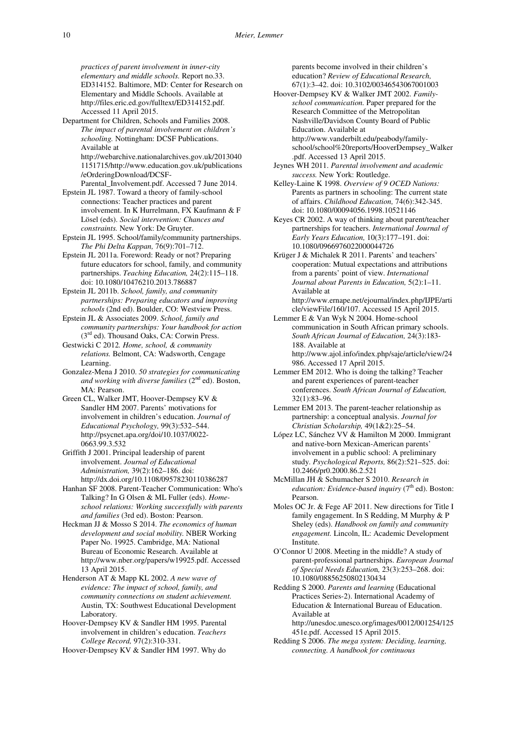*practices of parent involvement in inner-city elementary and middle schools.* Report no.33. ED314152. Baltimore, MD: Center for Research on Elementary and Middle Schools. Available at http://files.eric.ed.gov/fulltext/ED314152.pdf. Accessed 11 April 2015.

Department for Children, Schools and Families 2008. *The impact of parental involvement on children's schooling.* Nottingham: DCSF Publications. Available at

http://webarchive.nationalarchives.gov.uk/2013040 1151715/http://www.education.gov.uk/publications /eOrderingDownload/DCSF-

Parental\_Involvement.pdf. Accessed 7 June 2014. Epstein JL 1987. Toward a theory of family-school connections: Teacher practices and parent involvement. In K Hurrelmann, FX Kaufmann & F

Lösel (eds). *Social intervention: Chances and constraints.* New York: De Gruyter.

Epstein JL 1995. School/family/community partnerships. *The Phi Delta Kappan,* 76(9):701–712.

Epstein JL 2011a. Foreword: Ready or not? Preparing future educators for school, family, and community partnerships. *Teaching Education,* 24(2):115–118. doi: 10.1080/10476210.2013.786887

Epstein JL 2011b. *School, family, and community partnerships: Preparing educators and improving schools* (2nd ed). Boulder, CO: Westview Press.

Epstein JL & Associates 2009. *School, family and community partnerships: Your handbook for action*  (3<sup>rd</sup> ed). Thousand Oaks, CA: Corwin Press.

Gestwicki C 2012*. Home, school, & community relations.* Belmont, CA: Wadsworth, Cengage Learning.

Gonzalez-Mena J 2010. *50 strategies for communicating*  and working with diverse families (2<sup>nd</sup> ed). Boston, MA: Pearson.

Green CL, Walker JMT, Hoover-Dempsey KV & Sandler HM 2007. Parents' motivations for involvement in children's education. *Journal of Educational Psychology,* 99(3):532–544. http://psycnet.apa.org/doi/10.1037/0022- 0663.99.3.532

Griffith J 2001. Principal leadership of parent involvement. *Journal of Educational Administration,* 39(2):162–186. doi: http://dx.doi.org/10.1108/09578230110386287

Hanhan SF 2008. Parent-Teacher Communication: Who's Talking? In G Olsen & ML Fuller (eds). *Homeschool relations: Working successfully with parents and families* (3rd ed). Boston: Pearson.

Heckman JJ & Mosso S 2014. *The economics of human development and social mobility.* NBER Working Paper No. 19925. Cambridge, MA: National Bureau of Economic Research. Available at http://www.nber.org/papers/w19925.pdf. Accessed 13 April 2015.

Henderson AT & Mapp KL 2002. *A new wave of evidence: The impact of school, family, and community connections on student achievement.*  Austin*,* TX: Southwest Educational Development Laboratory*.*

Hoover-Dempsey KV & Sandler HM 1995. Parental involvement in children's education. *Teachers College Record,* 97(2):310-331.

Hoover-Dempsey KV & Sandler HM 1997. Why do

parents become involved in their children's education? *Review of Educational Research,*  67(1):3–42. doi: 10.3102/00346543067001003

- Hoover-Dempsey KV & Walker JMT 2002. *Familyschool communication.* Paper prepared for the Research Committee of the Metropolitan Nashville/Davidson County Board of Public Education. Available at http://www.vanderbilt.edu/peabody/familyschool/school%20reports/HooverDempsey\_Walker .pdf. Accessed 13 April 2015.
- Jeynes WH 2011. *Parental involvement and academic success.* New York: Routledge.
- Kelley-Laine K 1998. *Overview of 9 OCED Nations:* Parents as partners in schooling: The current state of affairs. *Childhood Education,* 74(6):342-345. doi: 10.1080/00094056.1998.10521146
- Keyes CR 2002. A way of thinking about parent/teacher partnerships for teachers. *International Journal of Early Years Education,* 10(3):177–191. doi: 10.1080/0966976022000044726
- Krüger J & Michalek R 2011. Parents' and teachers' cooperation: Mutual expectations and attributions from a parents' point of view. *International Journal about Parents in Education,* 5(2):1–11. Available at
- http://www.ernape.net/ejournal/index.php/IJPE/arti cle/viewFile/160/107. Accessed 15 April 2015.

Lemmer E & Van Wyk N 2004. Home-school communication in South African primary schools. *South African Journal of Education,* 24(3):183- 188. Available at http://www.ajol.info/index.php/saje/article/view/24 986. Accessed 17 April 2015.

- Lemmer EM 2012. Who is doing the talking? Teacher and parent experiences of parent-teacher conferences. *South African Journal of Education,*  32(1):83–96*.*
- Lemmer EM 2013. The parent-teacher relationship as partnership: a conceptual analysis. *Journal for Christian Scholarship,* 49(1&2):25–54.
- López LC, Sánchez VV & Hamilton M 2000. Immigrant and native-born Mexican-American parents' involvement in a public school: A preliminary study. *Psychological Reports,* 86(2):521–525. doi: 10.2466/pr0.2000.86.2.521
- McMillan JH & Schumacher S 2010. *Research in education: Evidence-based inquiry* (7<sup>th</sup> ed). Boston: Pearson.
- Moles OC Jr. & Fege AF 2011. New directions for Title I family engagement. In S Redding, M Murphy & P Sheley (eds). *Handbook on family and community engagement.* Lincoln, IL: Academic Development Institute.

O'Connor U 2008. Meeting in the middle? A study of parent-professional partnerships. *European Journal of Special Needs Educatio*n*,* 23(3):253–268. doi: 10.1080/08856250802130434

Redding S 2000. *Parents and learning* (Educational Practices Series-2). International Academy of Education & International Bureau of Education. Available at

http://unesdoc.unesco.org/images/0012/001254/125 451e.pdf. Accessed 15 April 2015.

Redding S 2006. *The mega system: Deciding, learning, connecting. A handbook for continuous*